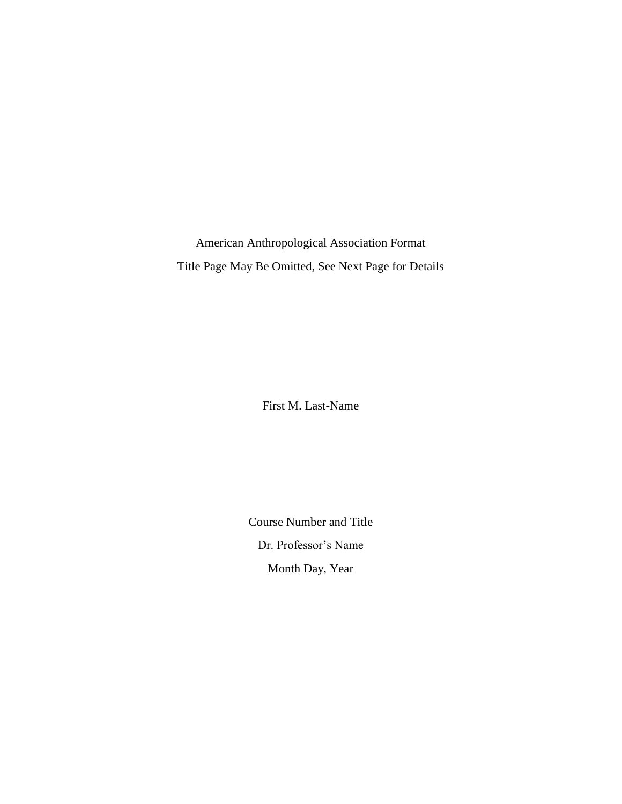American Anthropological Association Format Title Page May Be Omitted, See Next Page for Details

First M. Last-Name

Course Number and Title Dr. Professor's Name Month Day, Year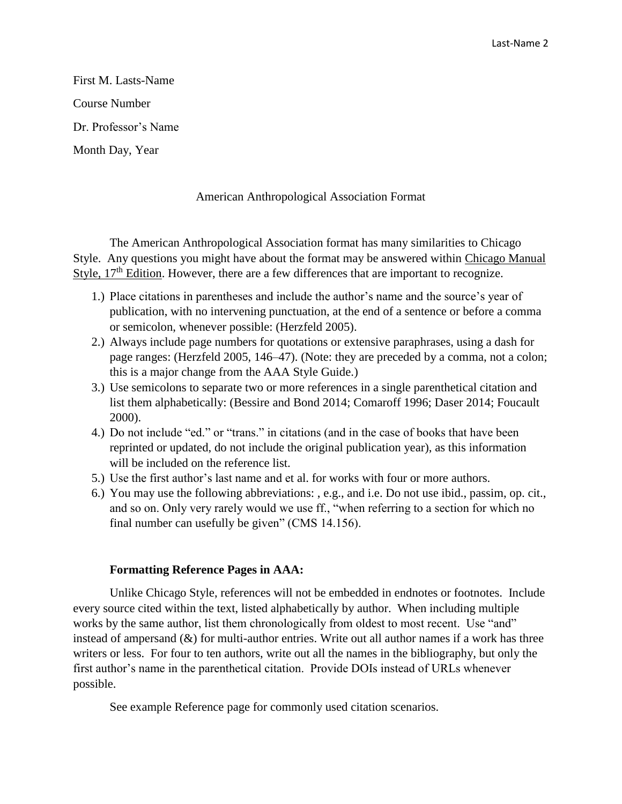Last-Name 2

First M. Lasts-Name Course Number Dr. Professor's Name Month Day, Year

## American Anthropological Association Format

The American Anthropological Association format has many similarities to Chicago Style. Any questions you might have about the format may be answered within Chicago Manual Style,  $17<sup>th</sup>$  Edition. However, there are a few differences that are important to recognize.

- 1.) Place citations in parentheses and include the author's name and the source's year of publication, with no intervening punctuation, at the end of a sentence or before a comma or semicolon, whenever possible: (Herzfeld 2005).
- 2.) Always include page numbers for quotations or extensive paraphrases, using a dash for page ranges: (Herzfeld 2005, 146–47). (Note: they are preceded by a comma, not a colon; this is a major change from the AAA Style Guide.)
- 3.) Use semicolons to separate two or more references in a single parenthetical citation and list them alphabetically: (Bessire and Bond 2014; Comaroff 1996; Daser 2014; Foucault 2000).
- 4.) Do not include "ed." or "trans." in citations (and in the case of books that have been reprinted or updated, do not include the original publication year), as this information will be included on the reference list.
- 5.) Use the first author's last name and et al. for works with four or more authors.
- 6.) You may use the following abbreviations: , e.g., and i.e. Do not use ibid., passim, op. cit., and so on. Only very rarely would we use ff., "when referring to a section for which no final number can usefully be given" (CMS 14.156).

## **Formatting Reference Pages in AAA:**

Unlike Chicago Style, references will not be embedded in endnotes or footnotes. Include every source cited within the text, listed alphabetically by author. When including multiple works by the same author, list them chronologically from oldest to most recent. Use "and" instead of ampersand (&) for multi-author entries. Write out all author names if a work has three writers or less. For four to ten authors, write out all the names in the bibliography, but only the first author's name in the parenthetical citation. Provide DOIs instead of URLs whenever possible.

See example Reference page for commonly used citation scenarios.